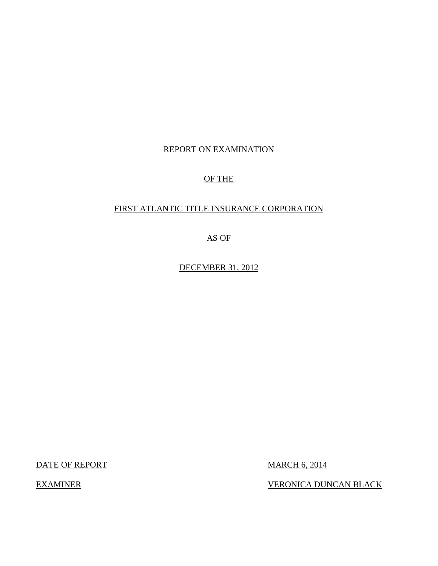# REPORT ON EXAMINATION

# OF THE

# FIRST ATLANTIC TITLE INSURANCE CORPORATION

AS OF

DECEMBER 31, 2012

DATE OF REPORT MARCH 6, 2014

**EXAMINER** 

VERONICA DUNCAN BLACK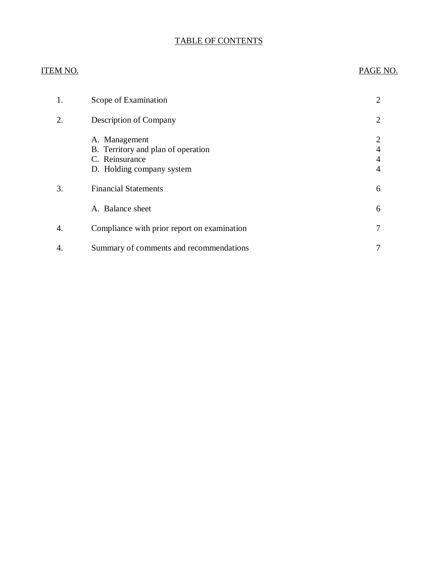# TABLE OF CONTENTS

# **ITEM NO.** [1. Scope of Examination 2](#page-3-0) [2. Description of Company 2](#page-3-0) 3. Financial Statements 6 4. Compliance with prior report on examination **1** and 1 and 1 and 1 and 1 and 1 and 1 and 1 and 1 and 1 and 1 and 1 and 1 and 1 and 1 and 1 and 1 and 1 and 1 and 1 and 1 and 1 and 1 and 1 and 1 and 1 and 1 and 1 and 1 and [4. Summary of comments and recommendations 7](#page-8-0) PAGE NO. [A. Management 2](#page-3-0)<br>B. Territory and plan of operation 4 [B. Territory and plan of operation 4](#page-5-0)<br>C. Reinsurance 4 C. Reinsurance [D. Holding company system 4](#page-5-0) A. Balance sheet 6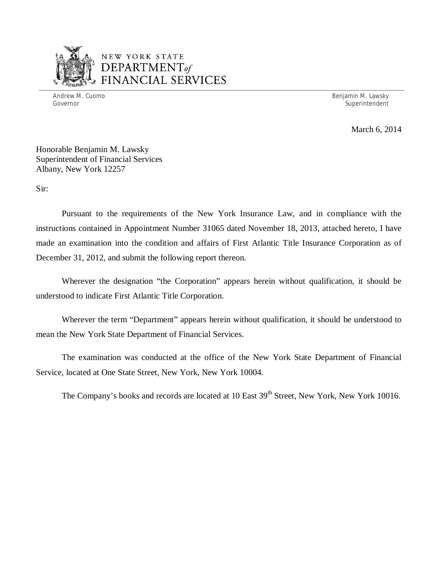

# NEW YORK STATE *DEPARTMENTof*  FINANCIAL SERVICES

Andrew M. Cuomo

Benjamin M. Lawsky Governor Superintendent Superintendent Superintendent Superintendent Superintendent Superintendent Superintendent

March 6, 2014

 Honorable Benjamin M. Lawsky Superintendent of Financial Services Albany, New York 12257

Sir:

 Pursuant to the requirements of the New York Insurance Law, and in compliance with the instructions contained in Appointment Number 31065 dated November 18, 2013, attached hereto, I have made an examination into the condition and affairs of First Atlantic Title Insurance Corporation as of December 31, 2012, and submit the following report thereon.

 Wherever the designation "the Corporation" appears herein without qualification, it should be understood to indicate First Atlantic Title Corporation.

 Wherever the term "Department" appears herein without qualification, it should be understood to mean the New York State Department of Financial Services.

 Service, located at One State Street, New York, New York 10004. The examination was conducted at the office of the New York State Department of Financial

The Company's books and records are located at 10 East 39<sup>th</sup> Street, New York, New York 10016.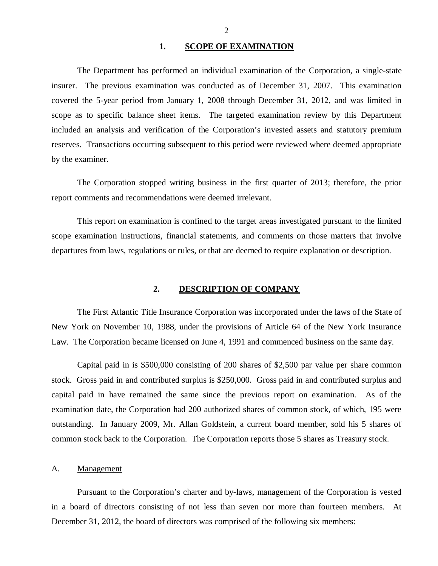#### **1. SCOPE OF EXAMINATION**

<span id="page-3-0"></span> insurer. The previous examination was conducted as of December 31, 2007. This examination covered the 5-year period from January 1, 2008 through December 31, 2012, and was limited in scope as to specific balance sheet items. The targeted examination review by this Department included an analysis and verification of the Corporation's invested assets and statutory premium reserves. Transactions occurring subsequent to this period were reviewed where deemed appropriate by the examiner. The Department has performed an individual examination of the Corporation*,* a single-state

 report comments and recommendations were deemed irrelevant. The Corporation stopped writing business in the first quarter of 2013; therefore, the prior

 scope examination instructions, financial statements, and comments on those matters that involve departures from laws, regulations or rules, or that are deemed to require explanation or description. This report on examination is confined to the target areas investigated pursuant to the limited

#### **2. DESCRIPTION OF COMPANY**

 The First Atlantic Title Insurance Corporation was incorporated under the laws of the State of New York on November 10, 1988, under the provisions of Article 64 of the New York Insurance Law. The Corporation became licensed on June 4, 1991 and commenced business on the same day.

 Capital paid in is \$500,000 consisting of 200 shares of \$2,500 par value per share common stock. Gross paid in and contributed surplus is \$250,000. Gross paid in and contributed surplus and capital paid in have remained the same since the previous report on examination. As of the examination date, the Corporation had 200 authorized shares of common stock, of which, 195 were outstanding. In January 2009, Mr. Allan Goldstein, a current board member, sold his 5 shares of common stock back to the Corporation. The Corporation reports those 5 shares as Treasury stock.

#### A. Management

 Pursuant to the Corporation's charter and by-laws, management of the Corporation is vested in a board of directors consisting of not less than seven nor more than fourteen members. At December 31, 2012, the board of directors was comprised of the following six members: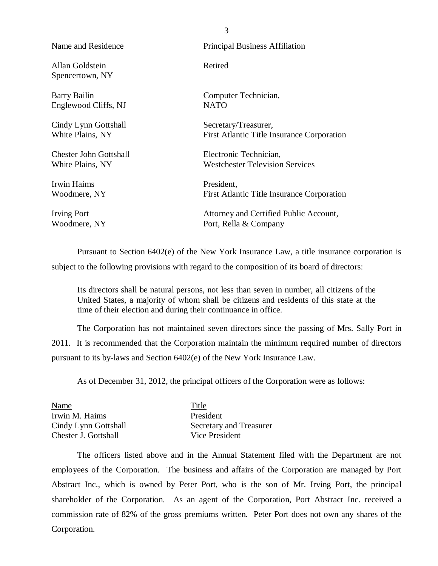Allan Goldstein **Retired** Spencertown, NY

**Barry Bailin** Englewood Cliffs, NJ NATO

White Plains, NY Cindy Lynn Gottshall Secretary/Treasurer,

**Chester John Gottshall** White Plains, NY

 Irwin Haims President, Woodmere, NY

Woodmere, NY

Name and Residence **Principal Business** Affiliation

Barry Bailin Computer Technician,

First Atlantic Title Insurance Corporation

 Chester John Gottshall Electronic Technician, White Plains, NY Westchester Television Services

First Atlantic Title Insurance Corporation

Irving Port **Attorney** and Certified Public Account, Woodmere, NY Port, Rella & Company

 Pursuant to Section 6402(e) of the New York Insurance Law, a title insurance corporation is subject to the following provisions with regard to the composition of its board of directors:

 Its directors shall be natural persons, not less than seven in number, all citizens of the United States, a majority of whom shall be citizens and residents of this state at the time of their election and during their continuance in office.

 2011. It is recommended that the Corporation maintain the minimum required number of directors pursuant to its by-laws and Section 6402(e) of the New York Insurance Law. The Corporation has not maintained seven directors since the passing of Mrs. Sally Port in

As of December 31, 2012, the principal officers of the Corporation were as follows:

| Name                 | Title                   |
|----------------------|-------------------------|
| Irwin M. Haims       | President               |
| Cindy Lynn Gottshall | Secretary and Treasurer |
| Chester J. Gottshall | Vice President          |

 employees of the Corporation. The business and affairs of the Corporation are managed by Port Abstract Inc., which is owned by Peter Port, who is the son of Mr. Irving Port, the principal shareholder of the Corporation. As an agent of the Corporation, Port Abstract Inc. received a commission rate of 82% of the gross premiums written. Peter Port does not own any shares of the The officers listed above and in the Annual Statement filed with the Department are not Corporation.

3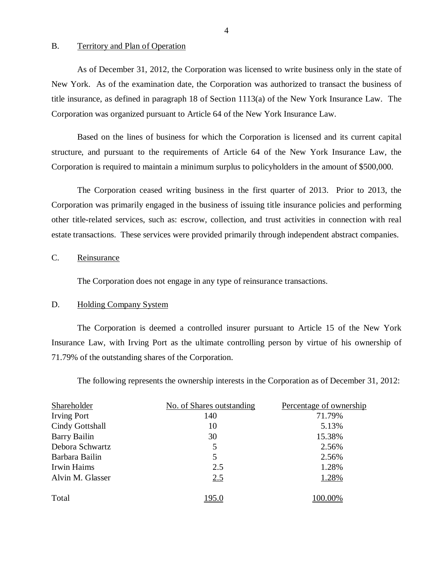#### <span id="page-5-0"></span>B. Territory and Plan of Operation

 New York. As of the examination date, the Corporation was authorized to transact the business of title insurance, as defined in paragraph 18 of Section 1113(a) of the New York Insurance Law. The Corporation was organized pursuant to Article 64 of the New York Insurance Law. As of December 31, 2012, the Corporation was licensed to write business only in the state of

 Based on the lines of business for which the Corporation is licensed and its current capital structure, and pursuant to the requirements of Article 64 of the New York Insurance Law, the Corporation is required to maintain a minimum surplus to policyholders in the amount of \$500,000.

 Corporation was primarily engaged in the business of issuing title insurance policies and performing other title-related services, such as: escrow, collection, and trust activities in connection with real estate transactions. These services were provided primarily through independent abstract companies. The Corporation ceased writing business in the first quarter of 2013. Prior to 2013, the

#### C. Reinsurance

The Corporation does not engage in any type of reinsurance transactions.

#### D. Holding Company System

 Insurance Law, with Irving Port as the ultimate controlling person by virtue of his ownership of 71.79% of the outstanding shares of the Corporation. The Corporation is deemed a controlled insurer pursuant to Article 15 of the New York

The following represents the ownership interests in the Corporation as of December 31, 2012:

| Shareholder         | No. of Shares outstanding | Percentage of ownership |
|---------------------|---------------------------|-------------------------|
| <b>Irving Port</b>  | 140                       | 71.79%                  |
| Cindy Gottshall     | 10                        | 5.13%                   |
| <b>Barry Bailin</b> | 30                        | 15.38%                  |
| Debora Schwartz     | 5                         | 2.56%                   |
| Barbara Bailin      | 5                         | 2.56%                   |
| Irwin Haims         | 2.5                       | 1.28%                   |
| Alvin M. Glasser    | 2.5                       | 1.28%                   |
| Total               |                           | 100.00%                 |

4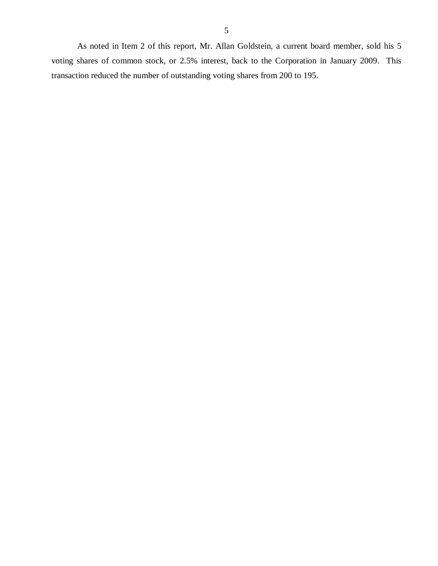As noted in Item 2 of this report, Mr. Allan Goldstein, a current board member, sold his 5 voting shares of common stock, or 2.5% interest, back to the Corporation in January 2009. This transaction reduced the number of outstanding voting shares from 200 to 195.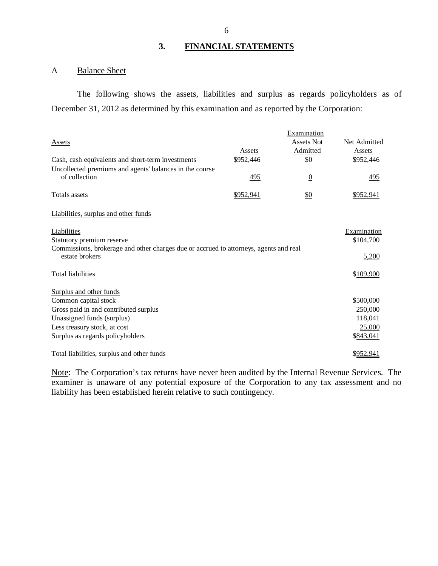# **3. FINANCIAL STATEMENTS**

#### A Balance Sheet

 December 31, 2012 as determined by this examination and as reported by the Corporation: The following shows the assets, liabilities and surplus as regards policyholders as of

|                                                                                                         |           | Examination       |              |
|---------------------------------------------------------------------------------------------------------|-----------|-------------------|--------------|
| Assets                                                                                                  |           | <b>Assets Not</b> | Net Admitted |
|                                                                                                         | Assets    | Admitted          | Assets       |
| Cash, cash equivalents and short-term investments                                                       | \$952,446 | \$0               | \$952,446    |
| Uncollected premiums and agents' balances in the course                                                 |           |                   |              |
| of collection                                                                                           | 495       | $\overline{0}$    | 495          |
| <b>Totals assets</b>                                                                                    | \$952,941 | $\underline{\$0}$ | \$952,941    |
| Liabilities, surplus and other funds                                                                    |           |                   |              |
| Liabilities                                                                                             |           |                   | Examination  |
| Statutory premium reserve                                                                               |           |                   | \$104,700    |
| Commissions, brokerage and other charges due or accrued to attorneys, agents and real<br>estate brokers | 5,200     |                   |              |
| <b>Total liabilities</b>                                                                                |           |                   | \$109,900    |
| Surplus and other funds                                                                                 |           |                   |              |
| Common capital stock                                                                                    |           |                   | \$500,000    |
| Gross paid in and contributed surplus                                                                   |           |                   | 250,000      |
| Unassigned funds (surplus)                                                                              |           |                   | 118,041      |
| Less treasury stock, at cost                                                                            |           |                   | 25,000       |
| Surplus as regards policyholders                                                                        |           |                   | \$843,041    |
| Total liabilities, surplus and other funds                                                              |           |                   | \$952,941    |

Note: The Corporation's tax returns have never been audited by the Internal Revenue Services. The examiner is unaware of any potential exposure of the Corporation to any tax assessment and no liability has been established herein relative to such contingency.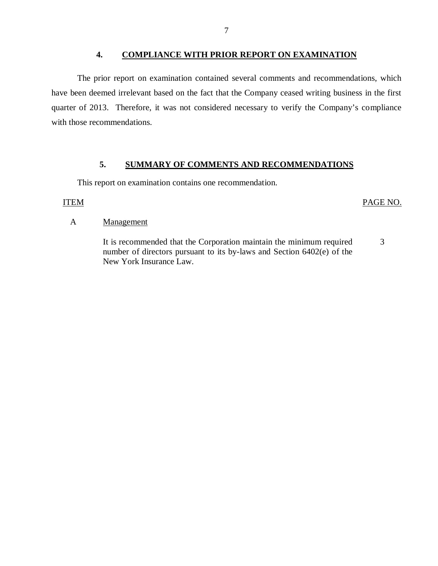### **4. COMPLIANCE WITH PRIOR REPORT ON EXAMINATION**

<span id="page-8-0"></span> have been deemed irrelevant based on the fact that the Company ceased writing business in the first quarter of 2013. Therefore, it was not considered necessary to verify the Company's compliance with those recommendations. The prior report on examination contained several comments and recommendations, which

### **5. SUMMARY OF COMMENTS AND RECOMMENDATIONS**

This report on examination contains one recommendation.

#### ITEM PAGE NO.

#### A Management

 It is recommended that the Corporation maintain the minimum required number of directors pursuant to its by-laws and Section 6402(e) of the New York Insurance Law. 3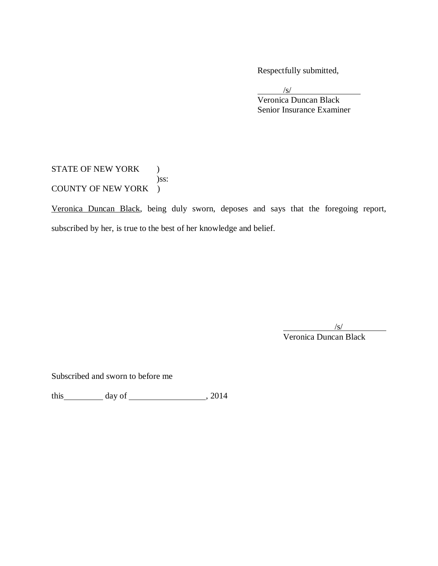Respectfully submitted,

/s/

 Senior Insurance Examiner Veronica Duncan Black

STATE OF NEW YORK ) COUNTY OF NEW YORK ) )ss:

Veronica Duncan Black, being duly sworn, deposes and says that the foregoing report, subscribed by her, is true to the best of her knowledge and belief.

 $\sqrt{s/2}$ 

Veronica Duncan Black

Subscribed and sworn to before me

this day of , 2014